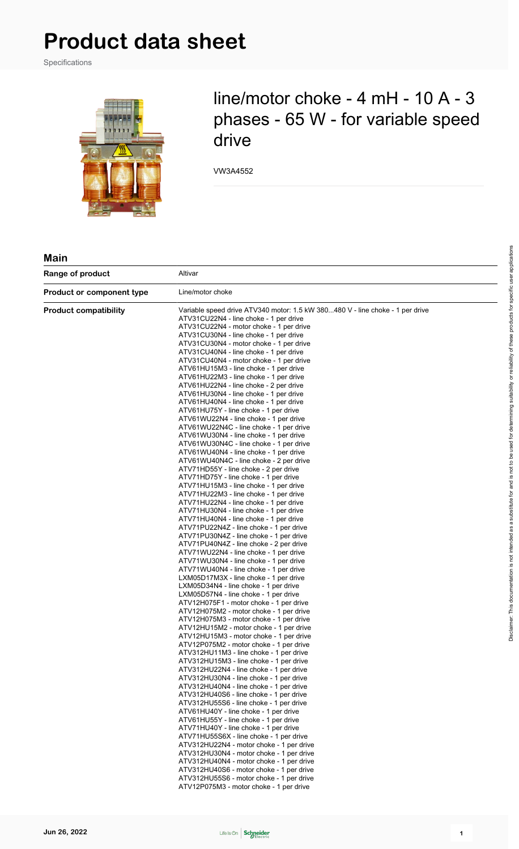Specifications



## line/motor choke - 4 mH - 10 A - 3 phases - 65 W - for variable speed drive

VW3A4552

#### **Main**

| Range of product                 | Altivar                                                                                                                                                                                                                                                                                                                                                                                                                                                                                                                                                                                                                                                                                                                                                                                                                                                                                                                                                                                                                                                                                                                                                                                                                                                                                                                                                                                                                                                                                                                                                                                                                                                                                                                                                                                                                                                                                                                                                                                                                                                                                                                                                                                       |  |  |  |
|----------------------------------|-----------------------------------------------------------------------------------------------------------------------------------------------------------------------------------------------------------------------------------------------------------------------------------------------------------------------------------------------------------------------------------------------------------------------------------------------------------------------------------------------------------------------------------------------------------------------------------------------------------------------------------------------------------------------------------------------------------------------------------------------------------------------------------------------------------------------------------------------------------------------------------------------------------------------------------------------------------------------------------------------------------------------------------------------------------------------------------------------------------------------------------------------------------------------------------------------------------------------------------------------------------------------------------------------------------------------------------------------------------------------------------------------------------------------------------------------------------------------------------------------------------------------------------------------------------------------------------------------------------------------------------------------------------------------------------------------------------------------------------------------------------------------------------------------------------------------------------------------------------------------------------------------------------------------------------------------------------------------------------------------------------------------------------------------------------------------------------------------------------------------------------------------------------------------------------------------|--|--|--|
| <b>Product or component type</b> | Line/motor choke                                                                                                                                                                                                                                                                                                                                                                                                                                                                                                                                                                                                                                                                                                                                                                                                                                                                                                                                                                                                                                                                                                                                                                                                                                                                                                                                                                                                                                                                                                                                                                                                                                                                                                                                                                                                                                                                                                                                                                                                                                                                                                                                                                              |  |  |  |
| <b>Product compatibility</b>     | Variable speed drive ATV340 motor: 1.5 kW 380480 V - line choke - 1 per drive<br>ATV31CU22N4 - line choke - 1 per drive<br>ATV31CU22N4 - motor choke - 1 per drive<br>ATV31CU30N4 - line choke - 1 per drive<br>ATV31CU30N4 - motor choke - 1 per drive<br>ATV31CU40N4 - line choke - 1 per drive<br>ATV31CU40N4 - motor choke - 1 per drive<br>ATV61HU15M3 - line choke - 1 per drive<br>ATV61HU22M3 - line choke - 1 per drive<br>ATV61HU22N4 - line choke - 2 per drive<br>ATV61HU30N4 - line choke - 1 per drive<br>ATV61HU40N4 - line choke - 1 per drive<br>ATV61HU75Y - line choke - 1 per drive<br>ATV61WU22N4 - line choke - 1 per drive<br>ATV61WU22N4C - line choke - 1 per drive<br>ATV61WU30N4 - line choke - 1 per drive<br>ATV61WU30N4C - line choke - 1 per drive<br>ATV61WU40N4 - line choke - 1 per drive<br>ATV61WU40N4C - line choke - 2 per drive<br>ATV71HD55Y - line choke - 2 per drive<br>ATV71HD75Y - line choke - 1 per drive<br>ATV71HU15M3 - line choke - 1 per drive<br>ATV71HU22M3 - line choke - 1 per drive<br>ATV71HU22N4 - line choke - 1 per drive<br>ATV71HU30N4 - line choke - 1 per drive<br>ATV71HU40N4 - line choke - 1 per drive<br>ATV71PU22N4Z - line choke - 1 per drive<br>ATV71PU30N4Z - line choke - 1 per drive<br>ATV71PU40N4Z - line choke - 2 per drive<br>ATV71WU22N4 - line choke - 1 per drive<br>ATV71WU30N4 - line choke - 1 per drive<br>ATV71WU40N4 - line choke - 1 per drive<br>LXM05D17M3X - line choke - 1 per drive<br>LXM05D34N4 - line choke - 1 per drive<br>LXM05D57N4 - line choke - 1 per drive<br>ATV12H075F1 - motor choke - 1 per drive<br>ATV12H075M2 - motor choke - 1 per drive<br>ATV12H075M3 - motor choke - 1 per drive<br>ATV12HU15M2 - motor choke - 1 per drive<br>ATV12HU15M3 - motor choke - 1 per drive<br>ATV12P075M2 - motor choke - 1 per drive<br>ATV312HU11M3 - line choke - 1 per drive<br>ATV312HU15M3 - line choke - 1 per drive<br>ATV312HU22N4 - line choke - 1 per drive<br>ATV312HU30N4 - line choke - 1 per drive<br>ATV312HU40N4 - line choke - 1 per drive<br>ATV312HU40S6 - line choke - 1 per drive<br>ATV312HU55S6 - line choke - 1 per drive<br>ATV61HU40Y - line choke - 1 per drive |  |  |  |
|                                  | ATV61HU55Y - line choke - 1 per drive<br>ATV71HU40Y - line choke - 1 per drive<br>ATV71HU55S6X - line choke - 1 per drive<br>ATV312HU22N4 - motor choke - 1 per drive<br>ATV312HU30N4 - motor choke - 1 per drive                                                                                                                                                                                                                                                                                                                                                                                                                                                                                                                                                                                                                                                                                                                                                                                                                                                                                                                                                                                                                                                                                                                                                                                                                                                                                                                                                                                                                                                                                                                                                                                                                                                                                                                                                                                                                                                                                                                                                                             |  |  |  |
|                                  | ATV312HU40N4 - motor choke - 1 per drive<br>ATV312HU40S6 - motor choke - 1 per drive<br>ATV312HU55S6 - motor choke - 1 per drive<br>ATV12P075M3 - motor choke - 1 per drive                                                                                                                                                                                                                                                                                                                                                                                                                                                                                                                                                                                                                                                                                                                                                                                                                                                                                                                                                                                                                                                                                                                                                                                                                                                                                                                                                                                                                                                                                                                                                                                                                                                                                                                                                                                                                                                                                                                                                                                                                   |  |  |  |

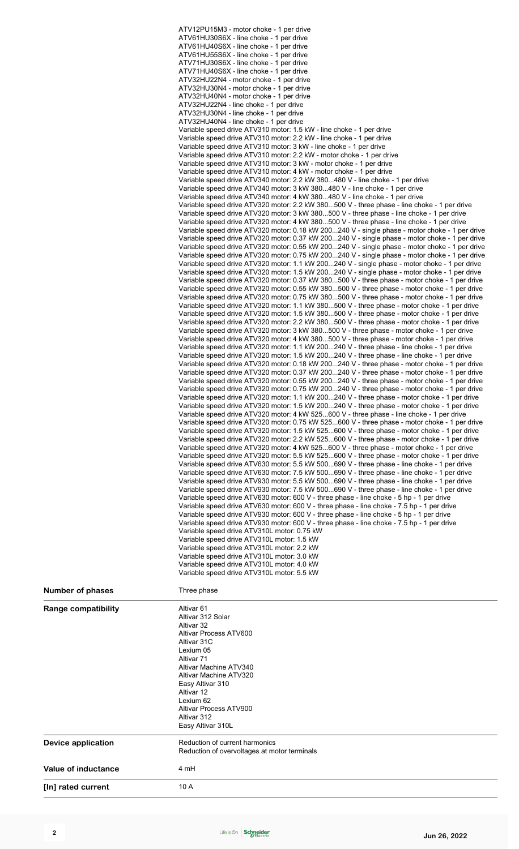|                         | ATV12PU15M3 - motor choke - 1 per drive<br>ATV61HU30S6X - line choke - 1 per drive<br>ATV61HU40S6X - line choke - 1 per drive<br>ATV61HU55S6X - line choke - 1 per drive<br>ATV71HU30S6X - line choke - 1 per drive<br>ATV71HU40S6X - line choke - 1 per drive<br>ATV32HU22N4 - motor choke - 1 per drive<br>ATV32HU30N4 - motor choke - 1 per drive<br>ATV32HU40N4 - motor choke - 1 per drive<br>ATV32HU22N4 - line choke - 1 per drive<br>ATV32HU30N4 - line choke - 1 per drive<br>ATV32HU40N4 - line choke - 1 per drive<br>Variable speed drive ATV310 motor: 1.5 kW - line choke - 1 per drive<br>Variable speed drive ATV310 motor: 2.2 kW - line choke - 1 per drive<br>Variable speed drive ATV310 motor: 3 kW - line choke - 1 per drive<br>Variable speed drive ATV310 motor: 2.2 kW - motor choke - 1 per drive<br>Variable speed drive ATV310 motor: 3 kW - motor choke - 1 per drive<br>Variable speed drive ATV310 motor: 4 kW - motor choke - 1 per drive<br>Variable speed drive ATV340 motor: 2.2 kW 380480 V - line choke - 1 per drive<br>Variable speed drive ATV340 motor: 3 kW 380480 V - line choke - 1 per drive<br>Variable speed drive ATV340 motor: 4 kW 380480 V - line choke - 1 per drive<br>Variable speed drive ATV320 motor: 2.2 kW 380500 V - three phase - line choke - 1 per drive<br>Variable speed drive ATV320 motor: 3 kW 380500 V - three phase - line choke - 1 per drive<br>Variable speed drive ATV320 motor: 4 kW 380500 V - three phase - line choke - 1 per drive<br>Variable speed drive ATV320 motor: 0.18 kW 200240 V - single phase - motor choke - 1 per drive<br>Variable speed drive ATV320 motor: 0.37 kW 200240 V - single phase - motor choke - 1 per drive<br>Variable speed drive ATV320 motor: 0.55 kW 200240 V - single phase - motor choke - 1 per drive<br>Variable speed drive ATV320 motor: 0.75 kW 200240 V - single phase - motor choke - 1 per drive<br>Variable speed drive ATV320 motor: 1.1 kW 200240 V - single phase - motor choke - 1 per drive<br>Variable speed drive ATV320 motor: 1.5 kW 200240 V - single phase - motor choke - 1 per drive<br>Variable speed drive ATV320 motor: 0.37 kW 380500 V - three phase - motor choke - 1 per drive<br>Variable speed drive ATV320 motor: 0.55 kW 380500 V - three phase - motor choke - 1 per drive<br>Variable speed drive ATV320 motor: 0.75 kW 380500 V - three phase - motor choke - 1 per drive<br>Variable speed drive ATV320 motor: 1.1 kW 380500 V - three phase - motor choke - 1 per drive<br>Variable speed drive ATV320 motor: 1.5 kW 380500 V - three phase - motor choke - 1 per drive<br>Variable speed drive ATV320 motor: 2.2 kW 380500 V - three phase - motor choke - 1 per drive<br>Variable speed drive ATV320 motor: 3 kW 380500 V - three phase - motor choke - 1 per drive<br>Variable speed drive ATV320 motor: 4 kW 380500 V - three phase - motor choke - 1 per drive<br>Variable speed drive ATV320 motor: 1.1 kW 200240 V - three phase - line choke - 1 per drive<br>Variable speed drive ATV320 motor: 1.5 kW 200240 V - three phase - line choke - 1 per drive<br>Variable speed drive ATV320 motor: 0.18 kW 200240 V - three phase - motor choke - 1 per drive<br>Variable speed drive ATV320 motor: 0.37 kW 200240 V - three phase - motor choke - 1 per drive<br>Variable speed drive ATV320 motor: 0.55 kW 200240 V - three phase - motor choke - 1 per drive<br>Variable speed drive ATV320 motor: 0.75 kW 200240 V - three phase - motor choke - 1 per drive<br>Variable speed drive ATV320 motor: 1.1 kW 200240 V - three phase - motor choke - 1 per drive<br>Variable speed drive ATV320 motor: 1.5 kW 200240 V - three phase - motor choke - 1 per drive<br>Variable speed drive ATV320 motor: 4 kW 525600 V - three phase - line choke - 1 per drive<br>Variable speed drive ATV320 motor: 0.75 kW 525600 V - three phase - motor choke - 1 per drive<br>Variable speed drive ATV320 motor: 1.5 kW 525600 V - three phase - motor choke - 1 per drive<br>Variable speed drive ATV320 motor: 2.2 kW 525600 V - three phase - motor choke - 1 per drive<br>Variable speed drive ATV320 motor: 4 kW 525600 V - three phase - motor choke - 1 per drive<br>Variable speed drive ATV320 motor: 5.5 kW 525600 V - three phase - motor choke - 1 per drive<br>Variable speed drive ATV630 motor: 5.5 kW 500690 V - three phase - line choke - 1 per drive<br>Variable speed drive ATV630 motor: 7.5 kW 500690 V - three phase - line choke - 1 per drive<br>Variable speed drive ATV930 motor: 5.5 kW 500690 V - three phase - line choke - 1 per drive<br>Variable speed drive ATV930 motor: 7.5 kW 500690 V - three phase - line choke - 1 per drive<br>Variable speed drive ATV630 motor: 600 V - three phase - line choke - 5 hp - 1 per drive<br>Variable speed drive ATV630 motor: 600 V - three phase - line choke - 7.5 hp - 1 per drive<br>Variable speed drive ATV930 motor: 600 V - three phase - line choke - 5 hp - 1 per drive<br>Variable speed drive ATV930 motor: 600 V - three phase - line choke - 7.5 hp - 1 per drive<br>Variable speed drive ATV310L motor: 0.75 kW<br>Variable speed drive ATV310L motor: 1.5 kW<br>Variable speed drive ATV310L motor: 2.2 kW<br>Variable speed drive ATV310L motor: 3.0 kW<br>Variable speed drive ATV310L motor: 4.0 kW<br>Variable speed drive ATV310L motor: 5.5 kW |
|-------------------------|------------------------------------------------------------------------------------------------------------------------------------------------------------------------------------------------------------------------------------------------------------------------------------------------------------------------------------------------------------------------------------------------------------------------------------------------------------------------------------------------------------------------------------------------------------------------------------------------------------------------------------------------------------------------------------------------------------------------------------------------------------------------------------------------------------------------------------------------------------------------------------------------------------------------------------------------------------------------------------------------------------------------------------------------------------------------------------------------------------------------------------------------------------------------------------------------------------------------------------------------------------------------------------------------------------------------------------------------------------------------------------------------------------------------------------------------------------------------------------------------------------------------------------------------------------------------------------------------------------------------------------------------------------------------------------------------------------------------------------------------------------------------------------------------------------------------------------------------------------------------------------------------------------------------------------------------------------------------------------------------------------------------------------------------------------------------------------------------------------------------------------------------------------------------------------------------------------------------------------------------------------------------------------------------------------------------------------------------------------------------------------------------------------------------------------------------------------------------------------------------------------------------------------------------------------------------------------------------------------------------------------------------------------------------------------------------------------------------------------------------------------------------------------------------------------------------------------------------------------------------------------------------------------------------------------------------------------------------------------------------------------------------------------------------------------------------------------------------------------------------------------------------------------------------------------------------------------------------------------------------------------------------------------------------------------------------------------------------------------------------------------------------------------------------------------------------------------------------------------------------------------------------------------------------------------------------------------------------------------------------------------------------------------------------------------------------------------------------------------------------------------------------------------------------------------------------------------------------------------------------------------------------------------------------------------------------------------------------------------------------------------------------------------------------------------------------------------------------------------------------------------------------------------------------------------------------------------------------------------------------------------------------------------------------------------------------------------------------------------------------------------------------------------------------------------------------------------------------------------------------------------------------------------------------------------------------------------------------------------------------------------------------------------------------------------------------------------------------------------------------------------------------------------------------------------------------------------------------------------------------------------------------------------------------------------------------------------------------------------------------------------------------------------------------------------------------------------------------------------------------------------------------------------------------------------------------------------------------------------------------------------------------------------------------------------------------------------------------------------------------------------------------|
| <b>Number of phases</b> | Three phase                                                                                                                                                                                                                                                                                                                                                                                                                                                                                                                                                                                                                                                                                                                                                                                                                                                                                                                                                                                                                                                                                                                                                                                                                                                                                                                                                                                                                                                                                                                                                                                                                                                                                                                                                                                                                                                                                                                                                                                                                                                                                                                                                                                                                                                                                                                                                                                                                                                                                                                                                                                                                                                                                                                                                                                                                                                                                                                                                                                                                                                                                                                                                                                                                                                                                                                                                                                                                                                                                                                                                                                                                                                                                                                                                                                                                                                                                                                                                                                                                                                                                                                                                                                                                                                                                                                                                                                                                                                                                                                                                                                                                                                                                                                                                                                                                                                                                                                                                                                                                                                                                                                                                                                                                                                                                                                                                                                    |
| Range compatibility     | Altivar <sub>61</sub><br>Altivar 312 Solar<br>Altivar 32<br>Altivar Process ATV600<br>Altivar 31C<br>Lexium 05<br>Altivar 71<br>Altivar Machine ATV340<br>Altivar Machine ATV320<br>Easy Altivar 310<br>Altivar 12<br>Lexium 62<br>Altivar Process ATV900<br>Altivar 312<br>Easy Altivar 310L                                                                                                                                                                                                                                                                                                                                                                                                                                                                                                                                                                                                                                                                                                                                                                                                                                                                                                                                                                                                                                                                                                                                                                                                                                                                                                                                                                                                                                                                                                                                                                                                                                                                                                                                                                                                                                                                                                                                                                                                                                                                                                                                                                                                                                                                                                                                                                                                                                                                                                                                                                                                                                                                                                                                                                                                                                                                                                                                                                                                                                                                                                                                                                                                                                                                                                                                                                                                                                                                                                                                                                                                                                                                                                                                                                                                                                                                                                                                                                                                                                                                                                                                                                                                                                                                                                                                                                                                                                                                                                                                                                                                                                                                                                                                                                                                                                                                                                                                                                                                                                                                                                  |
| Device application      | Reduction of current harmonics<br>Reduction of overvoltages at motor terminals                                                                                                                                                                                                                                                                                                                                                                                                                                                                                                                                                                                                                                                                                                                                                                                                                                                                                                                                                                                                                                                                                                                                                                                                                                                                                                                                                                                                                                                                                                                                                                                                                                                                                                                                                                                                                                                                                                                                                                                                                                                                                                                                                                                                                                                                                                                                                                                                                                                                                                                                                                                                                                                                                                                                                                                                                                                                                                                                                                                                                                                                                                                                                                                                                                                                                                                                                                                                                                                                                                                                                                                                                                                                                                                                                                                                                                                                                                                                                                                                                                                                                                                                                                                                                                                                                                                                                                                                                                                                                                                                                                                                                                                                                                                                                                                                                                                                                                                                                                                                                                                                                                                                                                                                                                                                                                                 |
| Value of inductance     | 4 mH                                                                                                                                                                                                                                                                                                                                                                                                                                                                                                                                                                                                                                                                                                                                                                                                                                                                                                                                                                                                                                                                                                                                                                                                                                                                                                                                                                                                                                                                                                                                                                                                                                                                                                                                                                                                                                                                                                                                                                                                                                                                                                                                                                                                                                                                                                                                                                                                                                                                                                                                                                                                                                                                                                                                                                                                                                                                                                                                                                                                                                                                                                                                                                                                                                                                                                                                                                                                                                                                                                                                                                                                                                                                                                                                                                                                                                                                                                                                                                                                                                                                                                                                                                                                                                                                                                                                                                                                                                                                                                                                                                                                                                                                                                                                                                                                                                                                                                                                                                                                                                                                                                                                                                                                                                                                                                                                                                                           |
| [In] rated current      | 10 A                                                                                                                                                                                                                                                                                                                                                                                                                                                                                                                                                                                                                                                                                                                                                                                                                                                                                                                                                                                                                                                                                                                                                                                                                                                                                                                                                                                                                                                                                                                                                                                                                                                                                                                                                                                                                                                                                                                                                                                                                                                                                                                                                                                                                                                                                                                                                                                                                                                                                                                                                                                                                                                                                                                                                                                                                                                                                                                                                                                                                                                                                                                                                                                                                                                                                                                                                                                                                                                                                                                                                                                                                                                                                                                                                                                                                                                                                                                                                                                                                                                                                                                                                                                                                                                                                                                                                                                                                                                                                                                                                                                                                                                                                                                                                                                                                                                                                                                                                                                                                                                                                                                                                                                                                                                                                                                                                                                           |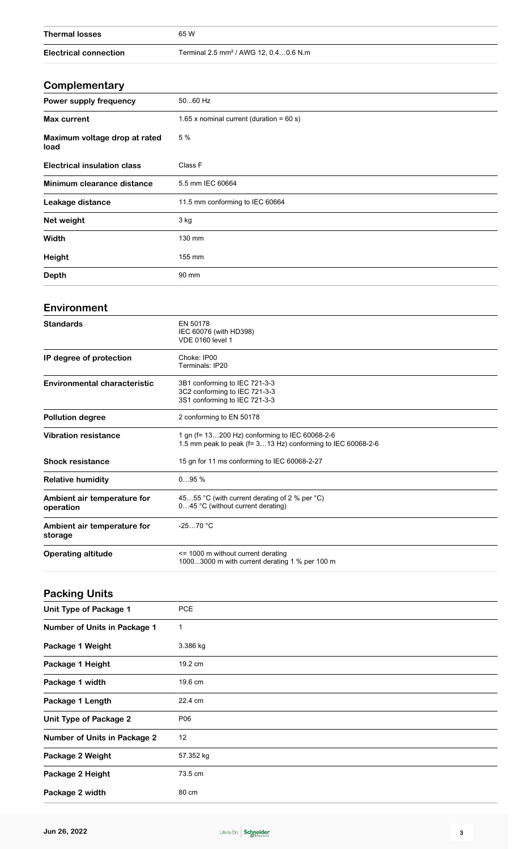| <b>Thermal losses</b>                    | 65 W                                                                                                          |  |  |  |  |  |
|------------------------------------------|---------------------------------------------------------------------------------------------------------------|--|--|--|--|--|
| <b>Electrical connection</b>             | Terminal 2.5 mm <sup>2</sup> / AWG 12, 0.40.6 N.m                                                             |  |  |  |  |  |
|                                          |                                                                                                               |  |  |  |  |  |
| Complementary                            |                                                                                                               |  |  |  |  |  |
| Power supply frequency                   | 5060 Hz                                                                                                       |  |  |  |  |  |
| <b>Max current</b>                       | 1.65 x nominal current (duration = $60 s$ )                                                                   |  |  |  |  |  |
| Maximum voltage drop at rated<br>load    | 5 %                                                                                                           |  |  |  |  |  |
| <b>Electrical insulation class</b>       | Class F                                                                                                       |  |  |  |  |  |
| Minimum clearance distance               | 5.5 mm IEC 60664                                                                                              |  |  |  |  |  |
| Leakage distance                         | 11.5 mm conforming to IEC 60664                                                                               |  |  |  |  |  |
| Net weight                               | 3 kg                                                                                                          |  |  |  |  |  |
| Width                                    | 130 mm                                                                                                        |  |  |  |  |  |
| Height                                   | 155 mm                                                                                                        |  |  |  |  |  |
| <b>Depth</b>                             | 90 mm                                                                                                         |  |  |  |  |  |
| Environment                              |                                                                                                               |  |  |  |  |  |
| <b>Standards</b>                         | EN 50178<br>IEC 60076 (with HD398)<br><b>VDE 0160 level 1</b>                                                 |  |  |  |  |  |
| IP degree of protection                  | Choke: IP00<br>Terminals: IP20                                                                                |  |  |  |  |  |
| <b>Environmental characteristic</b>      | 3B1 conforming to IEC 721-3-3<br>3C2 conforming to IEC 721-3-3<br>3S1 conforming to IEC 721-3-3               |  |  |  |  |  |
| <b>Pollution degree</b>                  | 2 conforming to EN 50178                                                                                      |  |  |  |  |  |
| <b>Vibration resistance</b>              | 1 gn (f= 13200 Hz) conforming to IEC 60068-2-6<br>1.5 mm peak to peak (f= 313 Hz) conforming to IEC 60068-2-6 |  |  |  |  |  |
| <b>Shock resistance</b>                  | 15 gn for 11 ms conforming to IEC 60068-2-27                                                                  |  |  |  |  |  |
| <b>Relative humidity</b>                 | 095%                                                                                                          |  |  |  |  |  |
| Ambient air temperature for<br>operation | 4555 °C (with current derating of 2 % per °C)<br>045 °C (without current derating)                            |  |  |  |  |  |
| Ambient air temperature for<br>storage   | $-2570 °C$                                                                                                    |  |  |  |  |  |
| <b>Operating altitude</b>                | <= 1000 m without current derating<br>10003000 m with current derating 1 % per 100 m                          |  |  |  |  |  |
| <b>Packing Units</b>                     |                                                                                                               |  |  |  |  |  |
| <b>Unit Type of Package 1</b>            | PCE                                                                                                           |  |  |  |  |  |
| Number of Units in Package 1             | 1                                                                                                             |  |  |  |  |  |
| Package 1 Weight                         | 3.386 kg                                                                                                      |  |  |  |  |  |
| Package 1 Height                         | 19.2 cm                                                                                                       |  |  |  |  |  |
|                                          |                                                                                                               |  |  |  |  |  |

Package 1 width 19.6 cm

Package 1 Length 22.4 cm

**Package 2 Weight** 57.352 kg

**Package 2 Height** 73.5 cm

Package 2 width 80 cm

**Unit Type of Package 2** P06

**Number of Units in Package 2** 12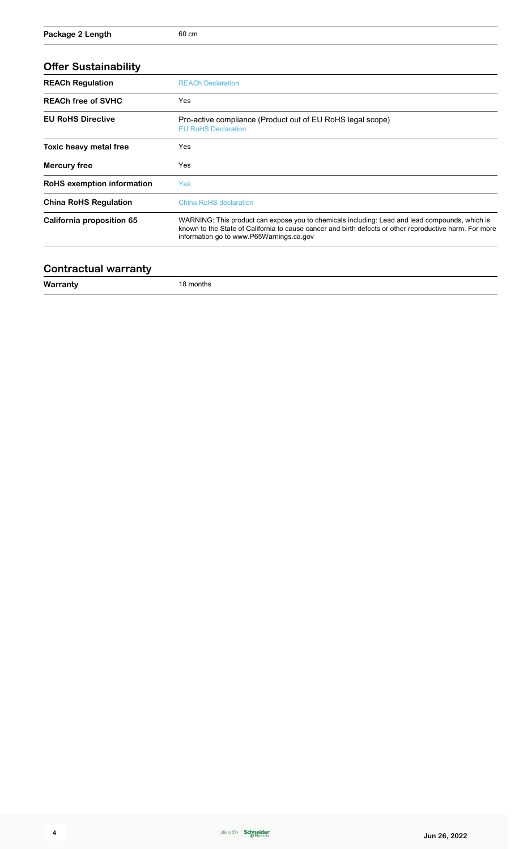| <b>Offer Sustainability</b>       |                                                                                                                                                                                                                                                       |  |  |  |  |
|-----------------------------------|-------------------------------------------------------------------------------------------------------------------------------------------------------------------------------------------------------------------------------------------------------|--|--|--|--|
| <b>REACh Regulation</b>           | <b>REACh Declaration</b>                                                                                                                                                                                                                              |  |  |  |  |
| <b>REACh free of SVHC</b>         | Yes                                                                                                                                                                                                                                                   |  |  |  |  |
| <b>EU RoHS Directive</b>          | Pro-active compliance (Product out of EU RoHS legal scope)<br><b>EU RoHS Declaration</b>                                                                                                                                                              |  |  |  |  |
| Toxic heavy metal free            | Yes                                                                                                                                                                                                                                                   |  |  |  |  |
| <b>Mercury free</b>               | Yes                                                                                                                                                                                                                                                   |  |  |  |  |
| <b>RoHS</b> exemption information | <b>Yes</b>                                                                                                                                                                                                                                            |  |  |  |  |
| <b>China RoHS Regulation</b>      | <b>China RoHS declaration</b>                                                                                                                                                                                                                         |  |  |  |  |
| California proposition 65         | WARNING: This product can expose you to chemicals including: Lead and lead compounds, which is<br>known to the State of California to cause cancer and birth defects or other reproductive harm. For more<br>information go to www.P65Warnings.ca.gov |  |  |  |  |
|                                   |                                                                                                                                                                                                                                                       |  |  |  |  |

#### **Contractual warranty**

**Warranty** 18 months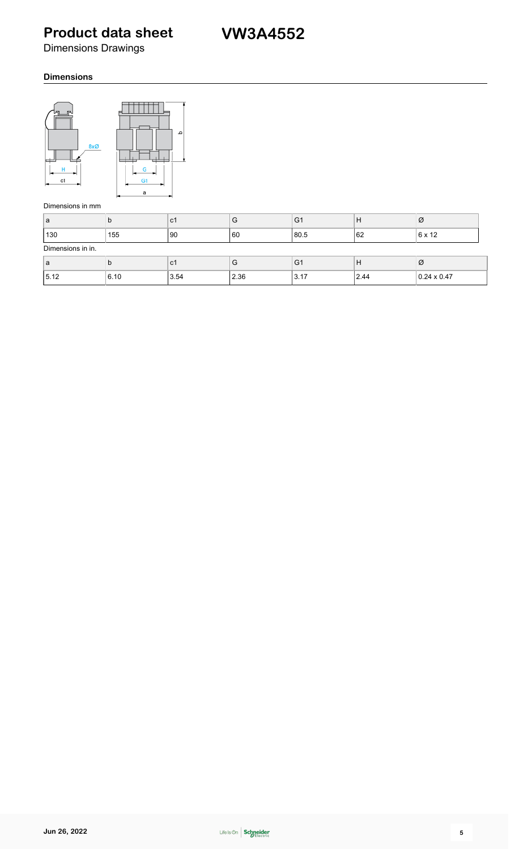Dimensions Drawings

#### **Dimensions**



#### Dimensions in mm

| ۱a                | N    | l C1 | G    | G <sub>1</sub> | н    | Ø                  |  |  |  |  |
|-------------------|------|------|------|----------------|------|--------------------|--|--|--|--|
| 130               | 155  | 90   | 60   | 80.5           | 162  | $6 \times 12$      |  |  |  |  |
| Dimensions in in. |      |      |      |                |      |                    |  |  |  |  |
| ۱a                | IJ   | C1   | G    | G <sub>1</sub> | Н    | Ø                  |  |  |  |  |
| 15.12             | 6.10 | 3.54 | 2.36 | 3.17           | 2.44 | $0.24 \times 0.47$ |  |  |  |  |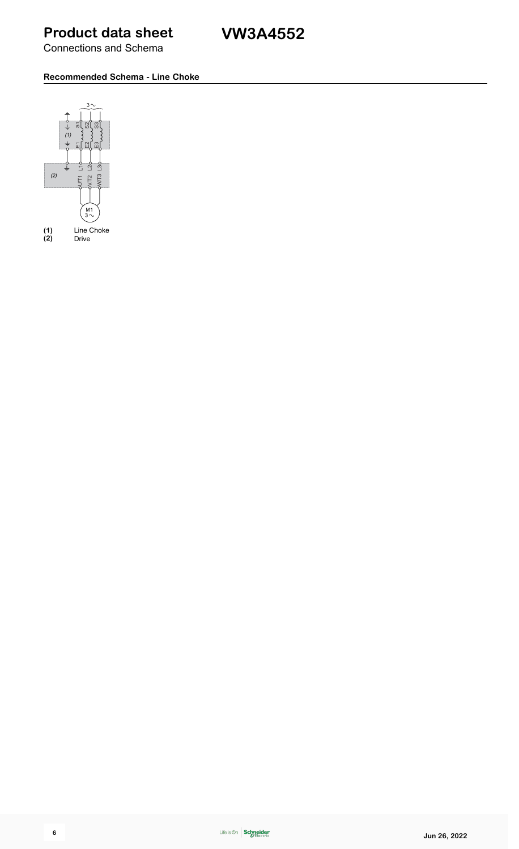Connections and Schema

#### **Recommended Schema - Line Choke**